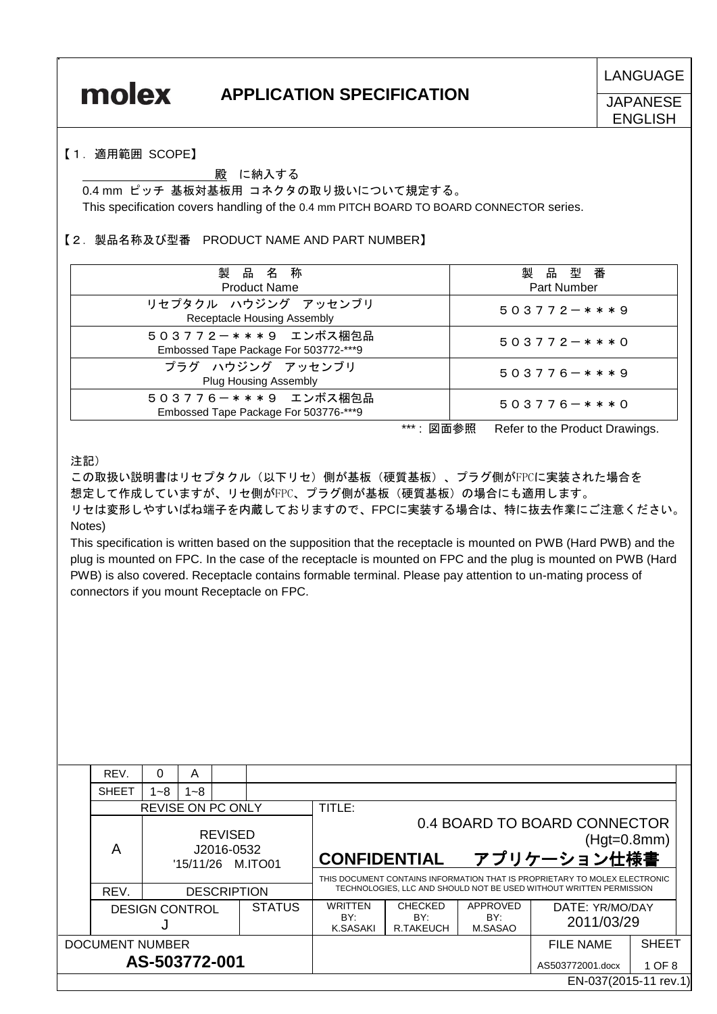**LANGUAGE** 

## **APPLICATION SPECIFICATION**

**JAPANESE** 

**ENGLISH** 

#### 【1.適用範囲 SCOPE】

#### 殿 に納入する

 0.4 mm ピッチ 基板対基板用 コネクタの取り扱いについて規定する。 This specification covers handling of the 0.4 mm PITCH BOARD TO BOARD CONNECTOR series.

### 【2.製品名称及び型番 PRODUCT NAME AND PART NUMBER】

| 製品名称<br><b>Product Name</b>                                  | 製品型番<br>Part Number |
|--------------------------------------------------------------|---------------------|
| リセプタクル ハウジング アッセンブリ<br>Receptacle Housing Assembly           | $503772 - ***9$     |
| 503772-***9 エンボス梱包品<br>Embossed Tape Package For 503772-***9 | $503772 - ***0$     |
| プラグ ハウジング アッセンブリ<br><b>Plug Housing Assembly</b>             | $503776 - ***9$     |
| 503776-***9 エンボス梱包品<br>Embossed Tape Package For 503776-***9 | $503776 - ***0$     |

\*\*\*: 図面参照 Refer to the Product Drawings.

注記)

この取扱い説明書はリセプタクル(以下リセ)側が基板(硬質基板)、プラグ側がFPCに実装された場合を 想定して作成していますが、リセ側がFPC、プラグ側が基板(硬質基板)の場合にも適用します。 リセは変形しやすいばね端子を内蔵しておりますので、FPCに実装する場合は、特に抜去作業にご注意ください。 Notes)

 This specification is written based on the supposition that the receptacle is mounted on PWB (Hard PWB) and the plug is mounted on FPC. In the case of the receptacle is mounted on FPC and the plug is mounted on PWB (Hard PWB) is also covered. Receptacle contains formable terminal. Please pay attention to un-mating process of connectors if you mount Receptacle on FPC.

|                        | REV.                                   | $\Omega$                                          | A                                 |                                    |                            |                               |                  |                                                                                                                                            |                       |  |  |
|------------------------|----------------------------------------|---------------------------------------------------|-----------------------------------|------------------------------------|----------------------------|-------------------------------|------------------|--------------------------------------------------------------------------------------------------------------------------------------------|-----------------------|--|--|
|                        | <b>SHEET</b>                           | $1 - 8$                                           | $1 - 8$                           |                                    |                            |                               |                  |                                                                                                                                            |                       |  |  |
|                        |                                        | <b>REVISE ON PC ONLY</b>                          |                                   |                                    | TITLE:                     |                               |                  |                                                                                                                                            |                       |  |  |
|                        | Α                                      | <b>REVISED</b><br>J2016-0532<br>'15/11/26 M.ITO01 |                                   |                                    | <b>CONFIDENTIAL</b>        |                               |                  | 0.4 BOARD TO BOARD CONNECTOR<br>$(Hgt=0.8mm)$<br>アプリケーション仕様書<br>THIS DOCUMENT CONTAINS INFORMATION THAT IS PROPRIETARY TO MOLEX ELECTRONIC |                       |  |  |
|                        | REV.                                   | <b>DESCRIPTION</b>                                |                                   |                                    |                            |                               |                  | TECHNOLOGIES, LLC AND SHOULD NOT BE USED WITHOUT WRITTEN PERMISSION                                                                        |                       |  |  |
|                        | <b>STATUS</b><br><b>DESIGN CONTROL</b> |                                                   | <b>WRITTEN</b><br>BY:<br>K.SASAKI | <b>CHECKED</b><br>BY:<br>R.TAKEUCH | APPROVED<br>BY:<br>M.SASAO | DATE: YR/MO/DAY<br>2011/03/29 |                  |                                                                                                                                            |                       |  |  |
| <b>DOCUMENT NUMBER</b> |                                        |                                                   |                                   |                                    |                            | <b>FILE NAME</b>              | <b>SHEET</b>     |                                                                                                                                            |                       |  |  |
| AS-503772-001          |                                        |                                                   |                                   |                                    |                            |                               | AS503772001.docx | 1 OF 8                                                                                                                                     |                       |  |  |
|                        |                                        |                                                   |                                   |                                    |                            |                               |                  |                                                                                                                                            | EN-037(2015-11 rev.1) |  |  |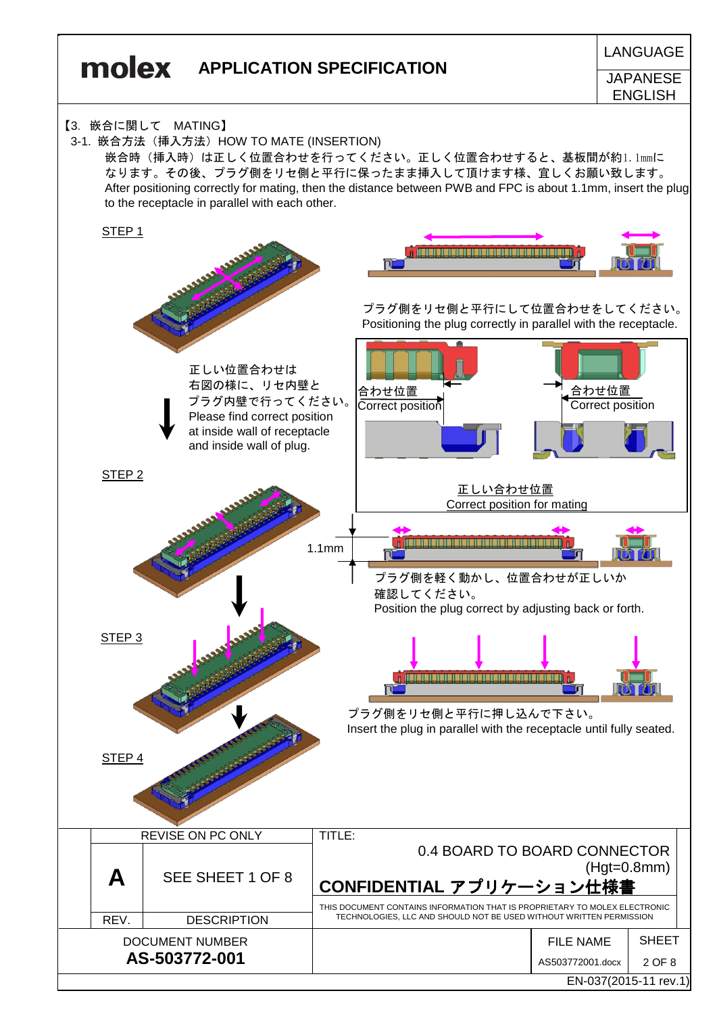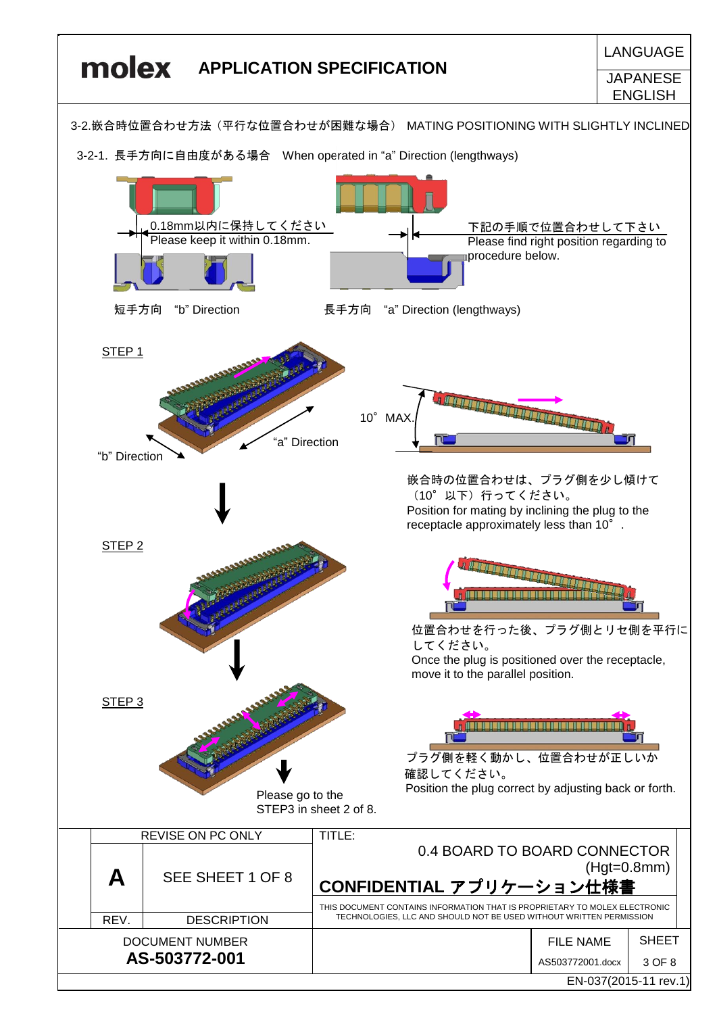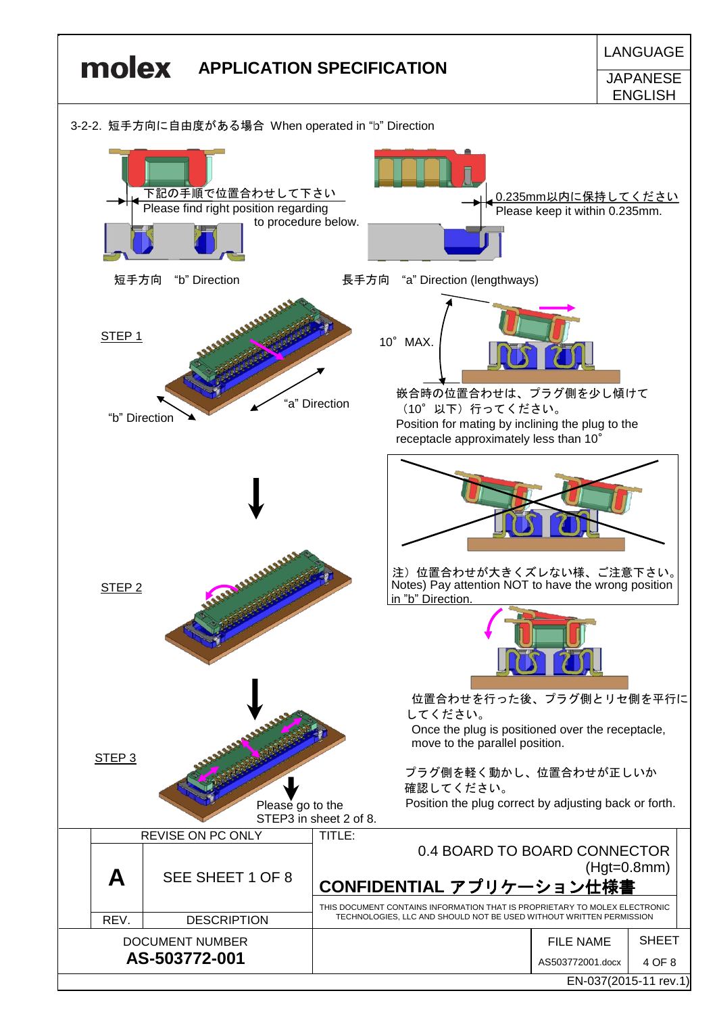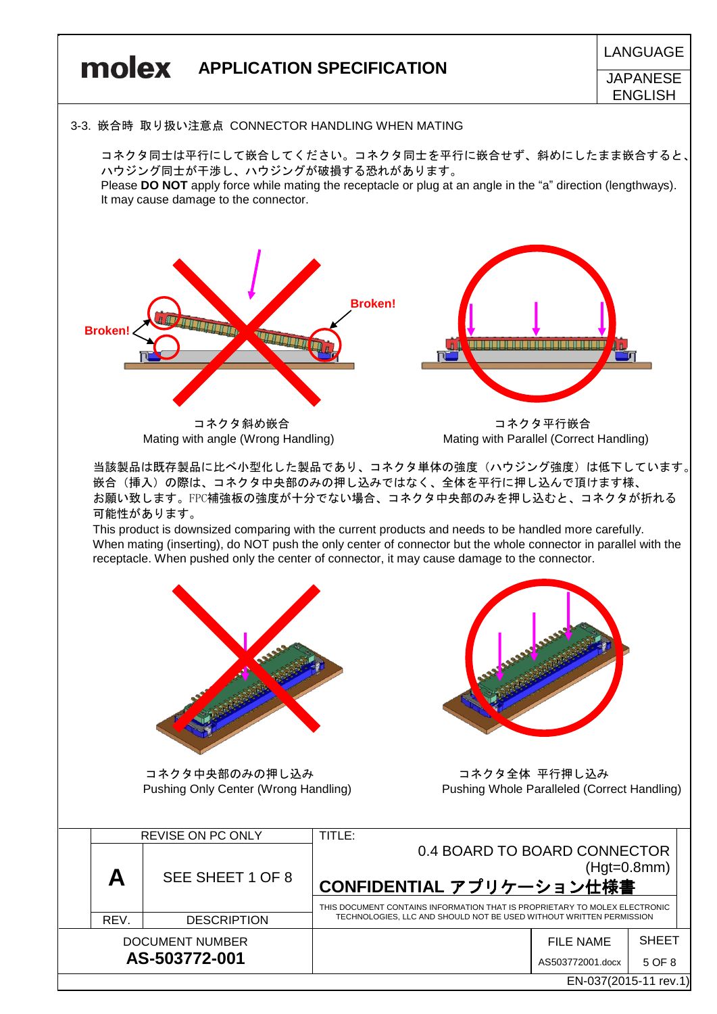

EN-037(2015-11 rev.1)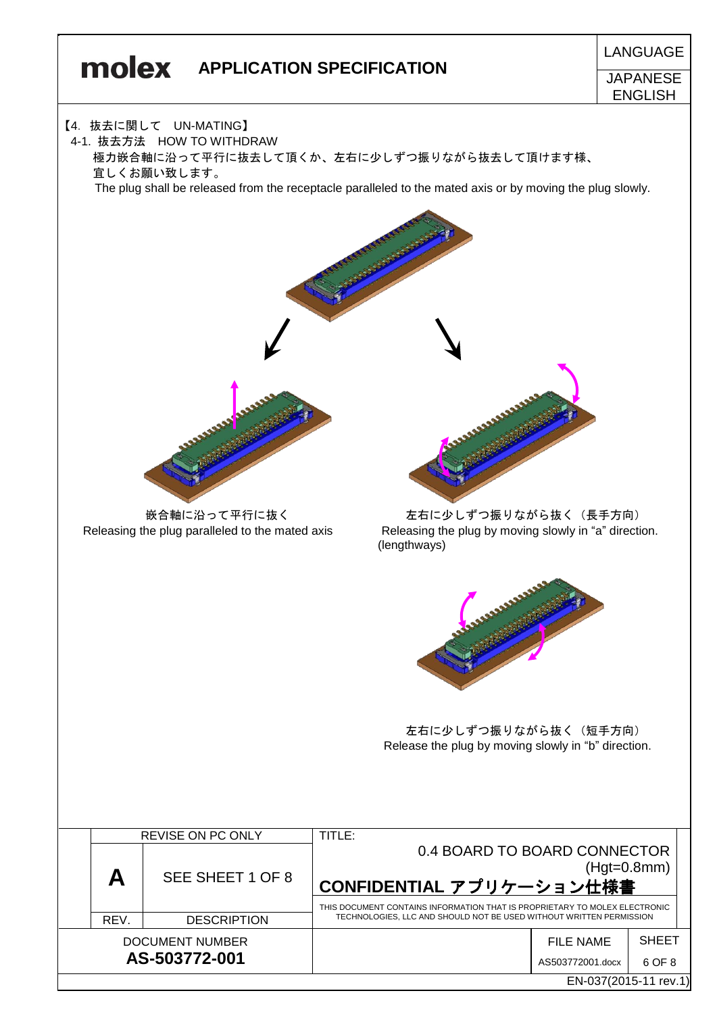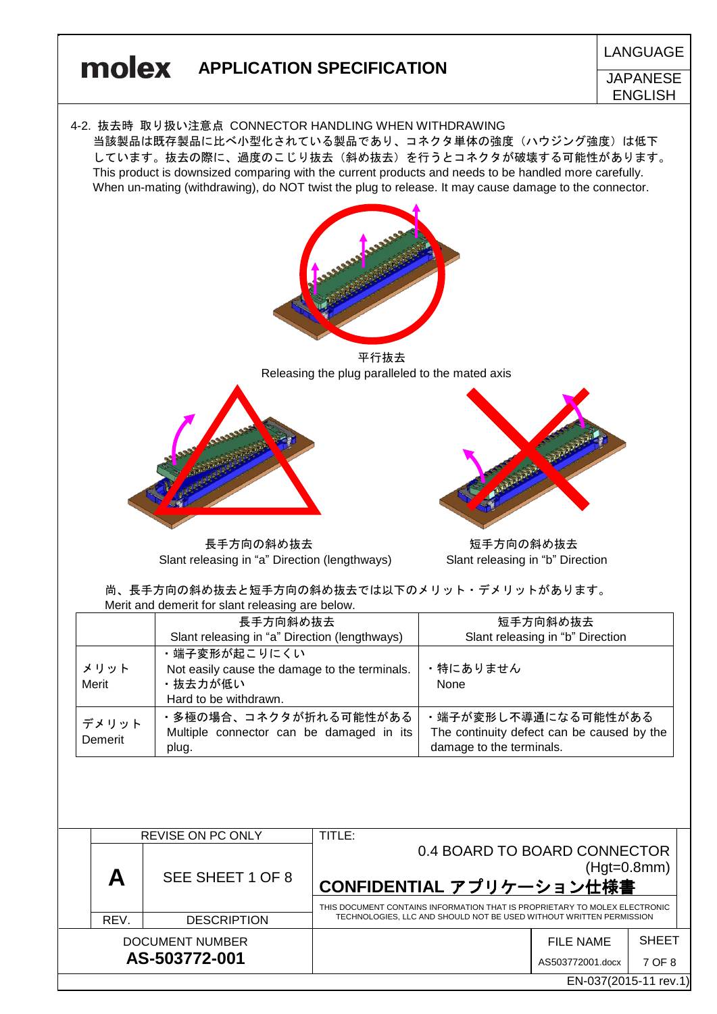

長手方向の斜め抜去 そうちゃく こうしゃ 短手方向の斜め抜去 Slant releasing in "a" Direction (lengthways) Slant releasing in "b" Direction

尚、長手方向の斜め抜去と短手方向の斜め抜去では以下のメリット・デメリットがあります。 Merit and demerit for slant releasing are below.

|                  | 長手方向斜め抜去                                      | 短手方向斜め抜去                                   |
|------------------|-----------------------------------------------|--------------------------------------------|
|                  | Slant releasing in "a" Direction (lengthways) | Slant releasing in "b" Direction           |
|                  | ・端子変形が起こりにくい                                  |                                            |
| メリット             | Not easily cause the damage to the terminals. | ・特にありません                                   |
| Merit            | ・抜去力が低い                                       | None                                       |
|                  | Hard to be withdrawn.                         |                                            |
|                  | ・多極の場合、コネクタが折れる可能性がある                         | ・端子が変形し不導通になる可能性がある                        |
| デメリット<br>Demerit | Multiple connector can be damaged in its      | The continuity defect can be caused by the |
|                  | plug.                                         | damage to the terminals.                   |

|                        |      | <b>REVISE ON PC ONLY</b> | TITLE:                                                                     |                       |               |  |
|------------------------|------|--------------------------|----------------------------------------------------------------------------|-----------------------|---------------|--|
|                        | Α    | SEE SHEET 1 OF 8         | 0.4 BOARD TO BOARD CONNECTOR                                               |                       |               |  |
|                        |      |                          |                                                                            |                       | $(Hgt=0.8mm)$ |  |
|                        |      |                          | CONFIDENTIAL アプリケーション仕様書                                                   |                       |               |  |
|                        |      |                          | THIS DOCUMENT CONTAINS INFORMATION THAT IS PROPRIETARY TO MOLEX ELECTRONIC |                       |               |  |
|                        | REV. | <b>DESCRIPTION</b>       | TECHNOLOGIES, LLC AND SHOULD NOT BE USED WITHOUT WRITTEN PERMISSION        |                       |               |  |
| <b>DOCUMENT NUMBER</b> |      |                          |                                                                            | FILE NAME             | <b>SHEET</b>  |  |
| AS-503772-001          |      |                          |                                                                            | AS503772001.docx      | 7 OF 8        |  |
|                        |      |                          |                                                                            | EN-037(2015-11 rev.1) |               |  |